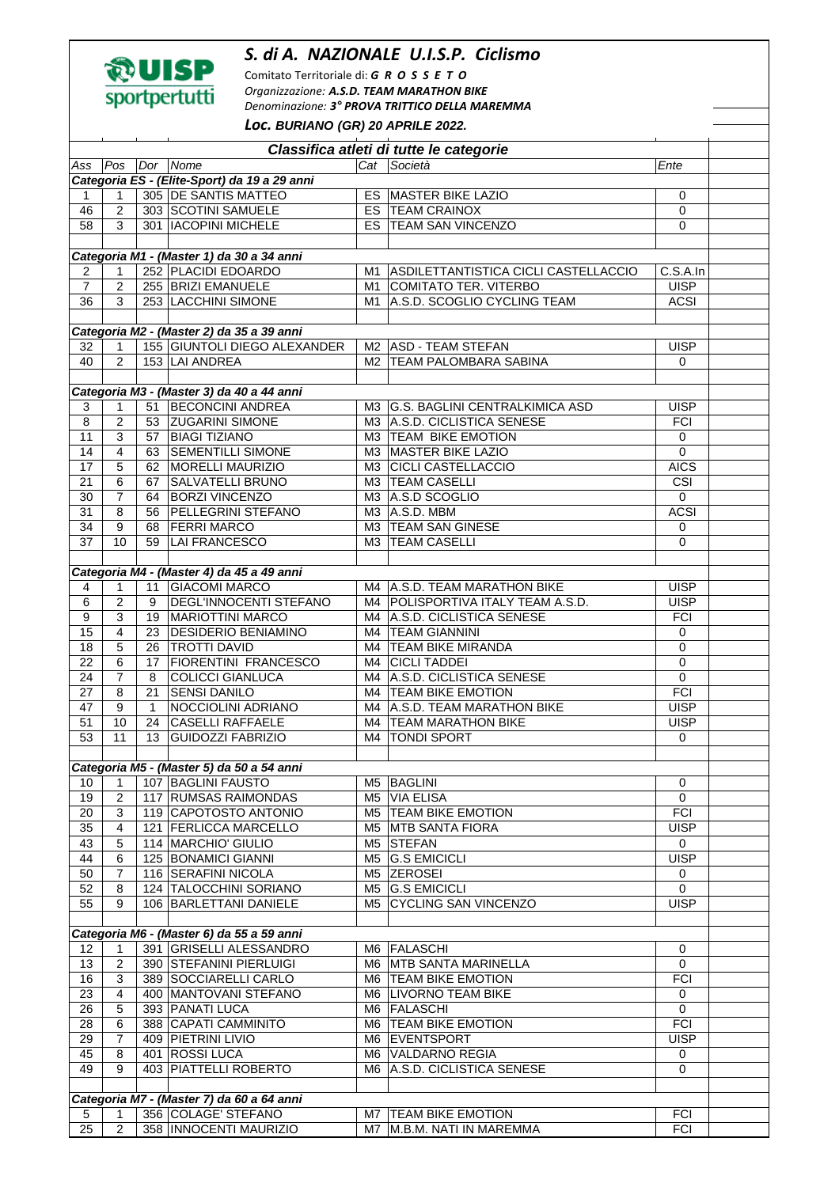

*S. di A. NAZIONALE U.I.S.P. Ciclismo* Comitato Territoriale di: *G R O S S E T O Organizzazione: A.S.D. TEAM MARATHON BIKE Denominazione: 3° PROVA TRITTICO DELLA MAREMMA Loc.* **BURIANO (GR) 20 APRILE 2022.** 

|                 | Classifica atleti di tutte le categorie |              |                                                                           |    |                                                                     |                            |  |  |  |  |  |
|-----------------|-----------------------------------------|--------------|---------------------------------------------------------------------------|----|---------------------------------------------------------------------|----------------------------|--|--|--|--|--|
|                 |                                         |              | Ass   Pos   Dor   Nome                                                    |    | Cat Società                                                         | Ente                       |  |  |  |  |  |
|                 |                                         |              | Categoria ES - (Elite-Sport) da 19 a 29 anni                              |    |                                                                     |                            |  |  |  |  |  |
| 1               | $\mathbf{1}$                            |              | 305 DE SANTIS MATTEO                                                      |    | ES MASTER BIKE LAZIO                                                | 0                          |  |  |  |  |  |
| 46              | $\overline{2}$                          |              | 303 SCOTINI SAMUELE                                                       |    | <b>ES TEAM CRAINOX</b>                                              | $\pmb{0}$                  |  |  |  |  |  |
| 58              | 3                                       |              | 301   IACOPINI MICHELE                                                    |    | ES   TEAM SAN VINCENZO                                              | 0                          |  |  |  |  |  |
|                 |                                         |              |                                                                           |    |                                                                     |                            |  |  |  |  |  |
|                 |                                         |              | Categoria M1 - (Master 1) da 30 a 34 anni                                 |    |                                                                     |                            |  |  |  |  |  |
| $\overline{2}$  | 1                                       |              | 252 PLACIDI EDOARDO                                                       |    | M1 ASDILETTANTISTICA CICLI CASTELLACCIO                             | C.S.A.In                   |  |  |  |  |  |
| $\overline{7}$  | $\overline{2}$                          |              | 255 BRIZI EMANUELE                                                        |    | M1 COMITATO TER. VITERBO                                            | <b>UISP</b>                |  |  |  |  |  |
| $\overline{36}$ | 3                                       |              | 253 LACCHINI SIMONE                                                       |    | M1 A.S.D. SCOGLIO CYCLING TEAM                                      | <b>ACSI</b>                |  |  |  |  |  |
|                 |                                         |              |                                                                           |    |                                                                     |                            |  |  |  |  |  |
| 32              | $\mathbf{1}$                            |              | Categoria M2 - (Master 2) da 35 a 39 anni<br>155 GIUNTOLI DIEGO ALEXANDER |    | M2 ASD - TEAM STEFAN                                                | <b>UISP</b>                |  |  |  |  |  |
| 40              | $\overline{2}$                          |              | 153 LAI ANDREA                                                            |    | M2   TEAM PALOMBARA SABINA                                          | 0                          |  |  |  |  |  |
|                 |                                         |              |                                                                           |    |                                                                     |                            |  |  |  |  |  |
|                 |                                         |              | Categoria M3 - (Master 3) da 40 a 44 anni                                 |    |                                                                     |                            |  |  |  |  |  |
| 3               | 1                                       |              | 51 BECONCINI ANDREA                                                       |    | M3 G.S. BAGLINI CENTRALKIMICA ASD                                   | <b>UISP</b>                |  |  |  |  |  |
| $\overline{8}$  | $\overline{2}$                          |              | 53 ZUGARINI SIMONE                                                        |    | M3 A.S.D. CICLISTICA SENESE                                         | FCI                        |  |  |  |  |  |
| $\overline{11}$ | 3                                       |              | 57 BIAGI TIZIANO                                                          |    | M3 TEAM BIKE EMOTION                                                | $\mathbf 0$                |  |  |  |  |  |
| 14              | $\overline{4}$                          |              | 63 SEMENTILLI SIMONE                                                      |    | M3 MASTER BIKE LAZIO                                                | $\mathbf 0$                |  |  |  |  |  |
| $\overline{17}$ | 5                                       | 62           | <b>MORELLI MAURIZIO</b>                                                   |    | M3 CICLI CASTELLACCIO                                               | <b>AICS</b>                |  |  |  |  |  |
| $\overline{21}$ | 6                                       | 67           | <b>SALVATELLI BRUNO</b>                                                   |    | M3 TEAM CASELLI                                                     | $\overline{\text{CSI}}$    |  |  |  |  |  |
| 30              | $\overline{7}$                          |              | 64 BORZI VINCENZO                                                         |    | M3 A.S.D SCOGLIO                                                    | 0                          |  |  |  |  |  |
| $\overline{31}$ | 8                                       |              | 56 PELLEGRINI STEFANO                                                     |    | M3 A.S.D. MBM                                                       | <b>ACSI</b>                |  |  |  |  |  |
| 34              | 9                                       |              | 68 FERRI MARCO                                                            |    | M3 TEAM SAN GINESE                                                  | 0                          |  |  |  |  |  |
| 37              | 10                                      | 59           | <b>LAI FRANCESCO</b>                                                      |    | M3   TEAM CASELLI                                                   | $\mathbf 0$                |  |  |  |  |  |
|                 |                                         |              |                                                                           |    |                                                                     |                            |  |  |  |  |  |
|                 |                                         |              | Categoria M4 - (Master 4) da 45 a 49 anni                                 |    |                                                                     |                            |  |  |  |  |  |
| 4               | 1<br>$\overline{c}$                     |              | 11 GIACOMI MARCO<br><b>DEGL'INNOCENTI STEFANO</b>                         |    | M4   A.S.D. TEAM MARATHON BIKE<br>M4 POLISPORTIVA ITALY TEAM A.S.D. | <b>UISP</b><br><b>UISP</b> |  |  |  |  |  |
| 6<br>9          | 3                                       | 9            | 19   MARIOTTINI MARCO                                                     |    | M4   A.S.D. CICLISTICA SENESE                                       | <b>FCI</b>                 |  |  |  |  |  |
| 15              | 4                                       | 23           | <b>DESIDERIO BENIAMINO</b>                                                |    | M4   TEAM GIANNINI                                                  | $\mathbf 0$                |  |  |  |  |  |
| 18              | 5                                       |              | 26 TROTTI DAVID                                                           |    | M4 TEAM BIKE MIRANDA                                                | $\overline{0}$             |  |  |  |  |  |
| 22              | 6                                       | 17           | <b>FIORENTINI FRANCESCO</b>                                               |    | M4 CICLI TADDEI                                                     | $\overline{0}$             |  |  |  |  |  |
| 24              | 7                                       | 8            | <b>COLICCI GIANLUCA</b>                                                   |    | M4 A.S.D. CICLISTICA SENESE                                         | $\overline{0}$             |  |  |  |  |  |
| 27              | 8                                       | 21           | <b>SENSI DANILO</b>                                                       |    | M4 TEAM BIKE EMOTION                                                | <b>FCI</b>                 |  |  |  |  |  |
| 47              | 9                                       | $\mathbf{1}$ | NOCCIOLINI ADRIANO                                                        |    | M4 A.S.D. TEAM MARATHON BIKE                                        | <b>UISP</b>                |  |  |  |  |  |
| 51              | 10                                      | 24           | <b>CASELLI RAFFAELE</b>                                                   |    | M4   TEAM MARATHON BIKE                                             | <b>UISP</b>                |  |  |  |  |  |
| 53              | 11                                      | 13           | <b>GUIDOZZI FABRIZIO</b>                                                  | M4 | <b>TONDI SPORT</b>                                                  | 0                          |  |  |  |  |  |
|                 |                                         |              |                                                                           |    |                                                                     |                            |  |  |  |  |  |
|                 |                                         |              | Categoria M5 - (Master 5) da 50 a 54 anni                                 |    |                                                                     |                            |  |  |  |  |  |
| 10              | 1                                       |              | 107 BAGLINI FAUSTO                                                        |    | M5 BAGLINI                                                          | 0                          |  |  |  |  |  |
| 19              | $\overline{2}$                          |              | 117 RUMSAS RAIMONDAS<br>119 CAPOTOSTO ANTONIO                             |    | M5 VIA ELISA                                                        | $\Omega$<br><b>FCI</b>     |  |  |  |  |  |
| 20<br>35        | 3<br>4                                  |              | 121 FERLICCA MARCELLO                                                     |    | M5 TEAM BIKE EMOTION<br>M5 MTB SANTA FIORA                          | <b>UISP</b>                |  |  |  |  |  |
| 43              | 5                                       |              | 114 MARCHIO' GIULIO                                                       |    | M5 STEFAN                                                           | 0                          |  |  |  |  |  |
| 44              | 6                                       |              | 125 BONAMICI GIANNI                                                       |    | M5 G.S EMICICLI                                                     | <b>UISP</b>                |  |  |  |  |  |
| 50              | 7                                       |              | 116 SERAFINI NICOLA                                                       |    | M5 ZEROSEI                                                          | 0                          |  |  |  |  |  |
| 52              | 8                                       |              | 124 TALOCCHINI SORIANO                                                    |    | M5 G.S EMICICLI                                                     | $\mathbf 0$                |  |  |  |  |  |
| 55              | 9                                       |              | 106 BARLETTANI DANIELE                                                    |    | M5 CYCLING SAN VINCENZO                                             | <b>UISP</b>                |  |  |  |  |  |
|                 |                                         |              |                                                                           |    |                                                                     |                            |  |  |  |  |  |
|                 |                                         |              | Categoria M6 - (Master 6) da 55 a 59 anni                                 |    |                                                                     |                            |  |  |  |  |  |
| 12              | 1                                       |              | 391 GRISELLI ALESSANDRO                                                   |    | M6 FALASCHI                                                         | $\mathbf 0$                |  |  |  |  |  |
| 13              | $\overline{2}$                          |              | 390 STEFANINI PIERLUIGI                                                   |    | M6 MTB SANTA MARINELLA                                              | 0                          |  |  |  |  |  |
| 16              | 3                                       |              | 389 SOCCIARELLI CARLO                                                     |    | <b>M6 TEAM BIKE EMOTION</b>                                         | $\overline{FCI}$           |  |  |  |  |  |
| 23              | $\overline{4}$                          |              | 400 MANTOVANI STEFANO                                                     |    | M6   LIVORNO TEAM BIKE                                              | 0                          |  |  |  |  |  |
| 26              | 5                                       |              | 393 PANATI LUCA                                                           |    | M6 FALASCHI                                                         | $\Omega$                   |  |  |  |  |  |
| 28              | 6                                       |              | 388 CAPATI CAMMINITO                                                      |    | M6 TEAM BIKE EMOTION                                                | <b>FCI</b>                 |  |  |  |  |  |
| 29              | 7                                       |              | 409 PIETRINI LIVIO                                                        |    | M6 EVENTSPORT                                                       | <b>UISP</b>                |  |  |  |  |  |
| 45              | 8<br>9                                  |              | 401 ROSSI LUCA                                                            |    | M6 VALDARNO REGIA                                                   | 0                          |  |  |  |  |  |
| 49              |                                         |              | 403 PIATTELLI ROBERTO                                                     |    | M6   A.S.D. CICLISTICA SENESE                                       | 0                          |  |  |  |  |  |
|                 |                                         |              | Categoria M7 - (Master 7) da 60 a 64 anni                                 |    |                                                                     |                            |  |  |  |  |  |
| 5               | 1                                       |              | 356 COLAGE' STEFANO                                                       |    | M7   TEAM BIKE EMOTION                                              | <b>FCI</b>                 |  |  |  |  |  |
| $\overline{25}$ | $\overline{2}$                          |              | 358   INNOCENTI MAURIZIO                                                  |    | M7   M.B.M. NATI IN MAREMMA                                         | <b>FCI</b>                 |  |  |  |  |  |
|                 |                                         |              |                                                                           |    |                                                                     |                            |  |  |  |  |  |